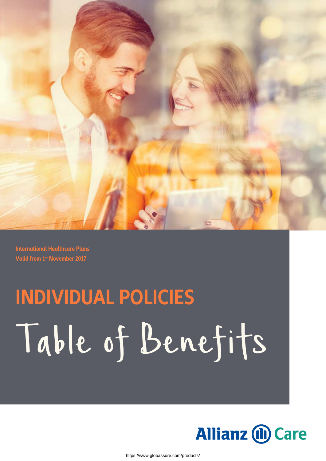

**International Healthcare Plans Valid from 1st November 2017**

# **INDIVIDUAL POLICIES** Table of Benefits

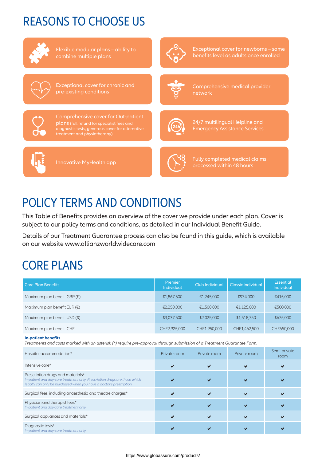### REASONS TO CHOOSE US



Flexible modular plans – ability to combine multiple plans



Exceptional cover for newborns – same benefits level as adults once enrolled



Exceptional cover for chronic and pre-existing conditions



Comprehensive medical provider network



Comprehensive cover for Out-patient plans (full refund for specialist fees and diagnostic tests, generous cover for alternative treatment and physiotherapy)



24/7 multilingual Helpline and Emergency Assistance Services



Innovative MyHealth app



Fully completed medical claims processed within 48 hours

### POLICY TERMS AND CONDITIONS

This Table of Benefits provides an overview of the cover we provide under each plan. Cover is subject to our policy terms and conditions, as detailed in our Individual Benefit Guide.

Details of our Treatment Guarantee process can also be found in this guide, which is available on our website [www.allianzworldwidecare.com](https://www.allianzworldwidecare.com/en/employers/insurance-products/international-healthcare/)

### CORE PLANS

| <b>Core Plan Benefits</b>             | Premier<br><b>Individual</b> | <b>Club Individual</b> | Classic Individual | <b>Essential</b><br><b>Individual</b> |
|---------------------------------------|------------------------------|------------------------|--------------------|---------------------------------------|
| Maximum plan benefit GBP (£)          | £1,867,500                   | £1,245,000             | £934,000           | £415,000                              |
| Maximum plan benefit EUR $(\epsilon)$ | €2,250,000                   | €1,500,000             | €1,125,000         | €500,000                              |
| Maximum plan benefit USD (\$)         | \$3,037,500                  | \$2,025,000            | \$1,518,750        | \$675,000                             |
| Maximum plan benefit CHF              | CHF2,925,000                 | CHF1,950,000           | CHF1,462,500       | CHF650,000                            |

#### **In-patient benefits**

*Treatments and costs marked with an asterisk (\*) require pre-approval through submission of a Treatment Guarantee Form.*

| Hospital accommodation*                                                                                                                                                                | Private room | Private room | Private room | Semi-private<br>room |
|----------------------------------------------------------------------------------------------------------------------------------------------------------------------------------------|--------------|--------------|--------------|----------------------|
| Intensive care*                                                                                                                                                                        |              |              |              |                      |
| Prescription drugs and materials*<br>In-patient and day-care treatment only. Prescription drugs are those which<br>legally can only be purchased when you have a doctor's prescription |              |              |              |                      |
| Surgical fees, including anaesthesia and theatre charges*                                                                                                                              |              |              |              |                      |
| Physician and therapist fees*<br>In-patient and day-care treatment only                                                                                                                |              |              |              |                      |
| Surgical appliances and materials*                                                                                                                                                     |              |              |              |                      |
| Diagnostic tests*<br>In-patient and day-care treatment only                                                                                                                            |              |              |              |                      |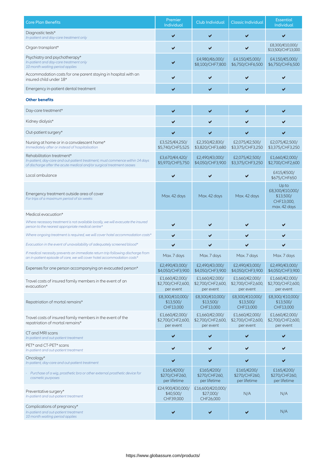| <b>Core Plan Benefits</b>                                                                                                                                                          | Premier<br>Individual                            | Club Individual                                  | <b>Classic Individual</b>                        | <b>Essential</b><br><b>Individual</b>                               |
|------------------------------------------------------------------------------------------------------------------------------------------------------------------------------------|--------------------------------------------------|--------------------------------------------------|--------------------------------------------------|---------------------------------------------------------------------|
| Diagnostic tests*<br>In-patient and day-care treatment only                                                                                                                        |                                                  |                                                  |                                                  | ✔                                                                   |
| Organ transplant*                                                                                                                                                                  |                                                  |                                                  |                                                  | £8,300/€10,000/<br>\$13,500/CHF13,000                               |
| Psychiatry and psychotherapy*<br>In-patient and day-care treatment only<br>10 month waiting period applies                                                                         |                                                  | £4,980/€6,000/<br>\$8,100/CHF7,800               | £4,150/€5,000/<br>\$6,750/CHF6,500               | £4,150/€5,000/<br>\$6,750/CHF6,500                                  |
| Accommodation costs for one parent staying in hospital with an<br>insured child under 18*                                                                                          |                                                  |                                                  |                                                  |                                                                     |
| Emergency in-patient dental treatment                                                                                                                                              |                                                  |                                                  |                                                  |                                                                     |
| <b>Other benefits</b>                                                                                                                                                              |                                                  |                                                  |                                                  |                                                                     |
| Day-care treatment*                                                                                                                                                                | ✔                                                | ✔                                                | ✔                                                |                                                                     |
| Kidney dialysis*                                                                                                                                                                   |                                                  |                                                  |                                                  |                                                                     |
| Out-patient surgery*                                                                                                                                                               | ✔                                                | ✔                                                |                                                  |                                                                     |
| Nursing at home or in a convalescent home*<br>Immediately after or instead of hospitalisation                                                                                      | £3,525/€4,250/<br>\$5,740/CHF5,525               | £2,350/€2,830/<br>\$3,820/CHF3,680               | £2,075/€2,500/<br>\$3,375/CHF3,250               | £2,075/€2,500/<br>\$3,375/CHF3,250                                  |
| Rehabilitation treatment*<br>In-patient, day-care and out-patient treatment; must commence within 14 days<br>of discharge after the acute medical and/or surgical treatment ceases | £3,670/€4,420/<br>\$5,970/CHF5,750               | £2,490/€3,000/<br>\$4,050/CHF3,900               | £2,075/€2,500/<br>\$3,375/CHF3,250               | £1,660/€2,000/<br>\$2,700/CHF2,600                                  |
| Local ambulance                                                                                                                                                                    |                                                  |                                                  |                                                  | £415/€500/<br>\$675/CHF650                                          |
| Emergency treatment outside area of cover<br>For trips of a maximum period of six weeks                                                                                            | Max. 42 days                                     | Max. 42 days                                     | Max. 42 days                                     | Up to<br>£8,300/€10,000/<br>\$13,500/<br>CHF13,000,<br>max. 42 days |
| Medical evacuation*                                                                                                                                                                |                                                  |                                                  |                                                  |                                                                     |
|                                                                                                                                                                                    |                                                  |                                                  |                                                  |                                                                     |
| Where necessary treatment is not available locally, we will evacuate the insured<br>person to the nearest appropriate medical centre*                                              |                                                  |                                                  |                                                  |                                                                     |
| Where ongoing treatment is required, we will cover hotel accommodation costs*                                                                                                      | ✔                                                |                                                  |                                                  |                                                                     |
| Evacuation in the event of unavailability of adequately screened blood*                                                                                                            |                                                  |                                                  |                                                  |                                                                     |
| If medical necessity prevents an immediate return trip following discharge from<br>an in-patient episode of care, we will cover hotel accommodation costs*                         | Max. 7 days                                      | Max. 7 days                                      | Max. 7 days                                      | Max. 7 days                                                         |
| Expenses for one person accompanying an evacuated person*                                                                                                                          | £2,490/€3,000/<br>\$4,050/CHF3,900               | £2,490/€3,000/<br>\$4,050/CHF3,900               | £2,490/€3,000/<br>\$4,050/CHF3,900               | £2,490/€3,000/<br>\$4,050/CHF3,900                                  |
| Travel costs of insured family members in the event of an<br>evacuation*                                                                                                           | £1,660/€2,000/<br>\$2,700/CHF2,600,<br>per event | £1,660/€2,000/<br>\$2,700/CHF2,600,<br>per event | £1,660/€2,000/<br>\$2,700/CHF2,600,<br>per event | £1,660/€2,000/<br>\$2,700/CHF2,600,<br>per event                    |
| Repatriation of mortal remains*                                                                                                                                                    | £8,300/€10,000/<br>\$13,500/<br>CHF13,000        | £8,300/€10,000/<br>\$13,500/<br>CHF13,000        | £8,300/€10,000/<br>\$13,500/<br>CHF13,000        | £8,300/€10,000/<br>\$13,500/<br>CHF13,000                           |
| Travel costs of insured family members in the event of the<br>repatriation of mortal remains*                                                                                      | £1,660/€2,000/<br>\$2,700/CHF2,600,<br>per event | £1,660/€2,000/<br>\$2,700/CHF2,600,<br>per event | £1,660/€2,000/<br>\$2,700/CHF2,600,<br>per event | £1,660/€2,000/<br>\$2,700/CHF2,600,<br>per event                    |
| CT and MRI scans<br>In-patient and out-patient treatment                                                                                                                           | ✔                                                | ✔                                                |                                                  |                                                                     |
| PET* and CT-PET* scans<br>In-patient and out-patient treatment                                                                                                                     |                                                  |                                                  |                                                  |                                                                     |
| Oncology*<br>In-patient, day-care and out-patient treatment                                                                                                                        | ✔                                                | ✔                                                | ✔                                                | ✔                                                                   |
| Purchase of a wig, prosthetic bra or other external prosthetic device for<br>cosmetic purposes                                                                                     | £165/€200/<br>\$270/CHF260,<br>per lifetime      | £165/€200/<br>\$270/CHF260,<br>per lifetime      | £165/€200/<br>\$270/CHF260,<br>per lifetime      | £165/€200/<br>\$270/CHF260,<br>per lifetime                         |
| Preventative surgery*<br>In-patient and out-patient treatment                                                                                                                      | £24,900/€30,000/<br>\$40,500/<br>CHF39,000       | £16,600/€20,000/<br>\$27,000/<br>CHF26,000       | N/A                                              | N/A                                                                 |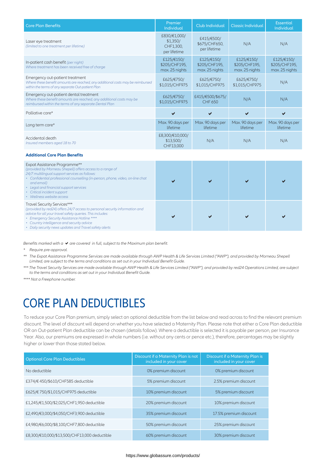| <b>Core Plan Benefits</b>                                                                                                                                                 | Premier<br><b>Individual</b>                          | <b>Club Individual</b>                        | <b>Classic Individual</b>                     | Essential<br>Individual                       |
|---------------------------------------------------------------------------------------------------------------------------------------------------------------------------|-------------------------------------------------------|-----------------------------------------------|-----------------------------------------------|-----------------------------------------------|
| Laser eye treatment<br>(limited to one treatment per lifetime)                                                                                                            | £830/€1,000/<br>\$1,350/<br>CHF1,300,<br>per lifetime | £415/€500/<br>\$675/CHF650,<br>per lifetime   | N/A                                           | N/A                                           |
| In-patient cash benefit (per night)<br>Where treatment has been received free of charge                                                                                   | £125/€150/<br>\$205/CHF195,<br>max. 25 nights         | £125/€150/<br>\$205/CHF195,<br>max. 25 nights | £125/€150/<br>\$205/CHF195,<br>max. 25 nights | £125/€150/<br>\$205/CHF195,<br>max. 25 nights |
| Emergency out-patient treatment<br>Where these benefit amounts are reached, any additional costs may be reimbursed<br>within the terms of any separate Out-patient Plan   | £625/€750/<br>\$1,015/CHF975                          | £625/€750/<br>\$1,015/CHF975                  | £625/€750/<br>\$1,015/CHF975                  | N/A                                           |
| Emergency out-patient dental treatment<br>Where these benefit amounts are reached, any additional costs may be<br>reimbursed within the terms of any separate Dental Plan | £625/€750/<br>\$1,015/CHF975                          | £415/€500/\$675/<br>CHF 650                   | N/A                                           | N/A                                           |
| Palliative care*                                                                                                                                                          |                                                       |                                               | ✔                                             | ✔                                             |
| Long term care*                                                                                                                                                           | Max. 90 days per<br>lifetime                          | Max. 90 days per<br>lifetime                  | Max. 90 days per<br>lifetime                  | Max. 90 days per<br>lifetime                  |
| Accidental death<br>Insured members aged 18 to 70                                                                                                                         | £8,300/€10,000/<br>\$13,500/<br>CHF13,000             | N/A                                           | N/A                                           | N/A                                           |
| <b>Additional Core Plan Benefits</b>                                                                                                                                      |                                                       |                                               |                                               |                                               |

| Expat Assistance Programme**<br>(provided by Morneau Shepell) offers access to a range of<br>24/7 multilingual support services as follows:<br>• Confidential professional counselling (in-person, phone, video, on-line chat<br>and email)<br>• Legal and financial support services<br>• Critical incident support<br>• Wellness website access |  |  |
|---------------------------------------------------------------------------------------------------------------------------------------------------------------------------------------------------------------------------------------------------------------------------------------------------------------------------------------------------|--|--|
| Travel Security Services***<br>(provided by red24) offers 24/7 access to personal security information and<br>advice for all your travel safety queries. This includes:<br>• Emergency Security Assistance Hotline ****<br>• Country intelligence and security advice<br>• Daily security news updates and Travel safety alerts                   |  |  |

#### *Benefits marked with a* **√** are covered in full, subject to the Maximum plan benefit.

*\* Require pre-approval.*

- *\*\* The Expat Assistance Programme Services are made available through AWP Health & Life Services Limited ("AWP"), and provided by Morneau Shepell Limited, are subject to the terms and conditions as set out in your Individual Benefit Guide.*
- *\*\*\* The Travel Security Services are made available through AWP Health & Life Services Limited ("AWP"), and provided by red24 Operations Limited, are subject to the terms and conditions as set out in your Individual Benefit Guide.*

*\*\*\*\* Not a Freephone number.*

#### CORE PLAN DEDUCTIBLES

To reduce your Core Plan premium, simply select an optional deductible from the list below and read across to find the relevant premium discount. The level of discount will depend on whether you have selected a Maternity Plan. Please note that either a Core Plan deductible OR an Out-patient Plan deductible can be chosen (details follow). Where a deductible is selected it is payable per person, per Insurance Year. Also, our premiums are expressed in whole numbers (i.e. without any cents or pence etc.), therefore, percentages may be slightly higher or lower than those stated below.

| <b>Optional Core Plan Deductibles</b>        | Discount if a Maternity Plan is not<br>included in your cover | Discount if a Maternity Plan is<br>included in your cover |
|----------------------------------------------|---------------------------------------------------------------|-----------------------------------------------------------|
| No deductible                                | 0% premium discount                                           | 0% premium discount                                       |
| £374/€450/\$610/CHF585 deductible            | 5% premium discount                                           | 2.5% premium discount                                     |
| £625/€ 750/\$1,015/CHF975 deductible         | 10% premium discount                                          | 5% premium discount                                       |
| £1,245/€1,500/\$2,025/CHF1,950 deductible    | 20% premium discount                                          | 10% premium discount                                      |
| £2,490/€3,000/\$4,050/CHF3,900 deductible    | 35% premium discount                                          | 17.5% premium discount                                    |
| £4,980/€6,000/\$8,100/CHF7,800 deductible    | 50% premium discount                                          | 25% premium discount                                      |
| £8,300/€10,000/\$13,500/CHF13,000 deductible | 60% premium discount                                          | 30% premium discount                                      |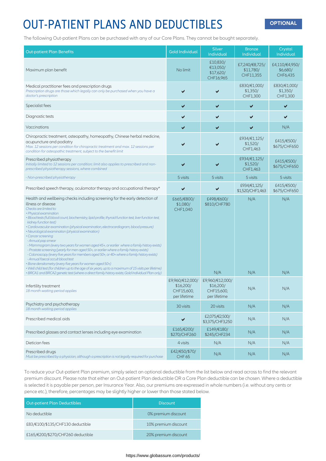### OUT-PATIENT PLANS AND DEDUCTIBLES **OPTIONAL**

The following Out-patient Plans can be purchased with any of our Core Plans. They cannot be bought separately.

| <b>Out-patient Plan Benefits</b>                                                                                                                                                                                                                                                                                                                                                                                                                                                                                                                                                                                                                                                                                                                                                                                                                                                                                                                                                                                                                                                               | <b>Gold Individual</b>                  | <b>Silver</b><br>Individual                    | <b>Bronze</b><br>Individual              | Crystal<br>Individual                  |
|------------------------------------------------------------------------------------------------------------------------------------------------------------------------------------------------------------------------------------------------------------------------------------------------------------------------------------------------------------------------------------------------------------------------------------------------------------------------------------------------------------------------------------------------------------------------------------------------------------------------------------------------------------------------------------------------------------------------------------------------------------------------------------------------------------------------------------------------------------------------------------------------------------------------------------------------------------------------------------------------------------------------------------------------------------------------------------------------|-----------------------------------------|------------------------------------------------|------------------------------------------|----------------------------------------|
| Maximum plan benefit                                                                                                                                                                                                                                                                                                                                                                                                                                                                                                                                                                                                                                                                                                                                                                                                                                                                                                                                                                                                                                                                           | No limit                                | £10,830/<br>€13,050/<br>\$17,620/<br>CHF16,965 | £7,240/€8,725/<br>\$11,780/<br>CHF11,355 | £4,110/€4,950/<br>\$6,680/<br>CHF6,435 |
| Medical practitioner fees and prescription drugs<br>Prescription drugs are those which legally can only be purchased when you have a<br>doctor's prescription                                                                                                                                                                                                                                                                                                                                                                                                                                                                                                                                                                                                                                                                                                                                                                                                                                                                                                                                  |                                         | ✔                                              | £830/€1,000/<br>\$1,350/<br>CHF1,300     | £830/€1,000/<br>\$1,350/<br>CHF1,300   |
| Specialist fees                                                                                                                                                                                                                                                                                                                                                                                                                                                                                                                                                                                                                                                                                                                                                                                                                                                                                                                                                                                                                                                                                | ✔                                       | ✔                                              | ✔                                        | ✔                                      |
| Diagnostic tests                                                                                                                                                                                                                                                                                                                                                                                                                                                                                                                                                                                                                                                                                                                                                                                                                                                                                                                                                                                                                                                                               | ✔                                       |                                                | ✔                                        |                                        |
| Vaccinations                                                                                                                                                                                                                                                                                                                                                                                                                                                                                                                                                                                                                                                                                                                                                                                                                                                                                                                                                                                                                                                                                   | ✔                                       |                                                | ✔                                        | N/A                                    |
| Chiropractic treatment, osteopathy, homeopathy, Chinese herbal medicine,<br>acupuncture and podiatry<br>Max. 12 sessions per condition for chiropractic treatment and max. 12 sessions per<br>condition for osteopathic treatment, subject to the benefit limit                                                                                                                                                                                                                                                                                                                                                                                                                                                                                                                                                                                                                                                                                                                                                                                                                                |                                         |                                                | £934/€1,125/<br>\$1,520/<br>CHF1,463     | £415/€500/<br>\$675/CHF650             |
| Prescribed physiotherapy<br>Initially limited to 12 sessions per condition; limit also applies to prescribed and non-<br>prescribed physiotherapy sessions, where combined                                                                                                                                                                                                                                                                                                                                                                                                                                                                                                                                                                                                                                                                                                                                                                                                                                                                                                                     | ✔                                       |                                                | £934/€1,125/<br>\$1,520/<br>CHF1,463     | £415/€500/<br>\$675/CHF650             |
| - Non-prescribed physiotherapy                                                                                                                                                                                                                                                                                                                                                                                                                                                                                                                                                                                                                                                                                                                                                                                                                                                                                                                                                                                                                                                                 | 5 visits                                | 5 visits                                       | 5 visits                                 | 5 visits                               |
| Prescribed speech therapy, oculomotor therapy and occupational therapy*                                                                                                                                                                                                                                                                                                                                                                                                                                                                                                                                                                                                                                                                                                                                                                                                                                                                                                                                                                                                                        | ✔                                       |                                                | £934/€1,125/<br>\$1,520/CHF1,463         | £415/€500/<br>\$675/CHF650             |
| Health and wellbeing checks including screening for the early detection of<br>illness or disease<br>Checks are limited to:<br>• Physical examination<br>· Blood tests (full blood count, biochemistry, lipid profile, thyroid function test, liver function test,<br>kidney function test)<br>· Cardiovascular examination (physical examination, electrocardiogram, blood pressure)<br>• Neurological examination (physical examination)<br>• Cancer screening<br>- Annual pap smear<br>- Mammogram (every two years for women aged 45+, or earlier where a family history exists)<br>- Prostate screening (yearly for men aged 50+, or earlier where a family history exists)<br>- Colonoscopy (every five years for members aged 50+, or 40+ where a family history exists)<br>- Annual faecal occult blood test<br>• Bone densitometry (every five years for women aged 50+)<br>• Well child test (for children up to the age of six years, up to a maximum of 15 visits per lifetime)<br>· BRCA1 and BRCA2 genetic test (where a direct family history exists; Gold Individual Plan only) | £665/€800/<br>\$1,080/<br>CHF1,040      | £498/€600/<br>\$810/CHF780<br>N/A              | N/A<br>N/A                               | N/A<br>N/A                             |
|                                                                                                                                                                                                                                                                                                                                                                                                                                                                                                                                                                                                                                                                                                                                                                                                                                                                                                                                                                                                                                                                                                | £9,960/€12,000/                         | £9,960/€12,000/                                |                                          |                                        |
| Infertility treatment<br>18 month waiting period applies                                                                                                                                                                                                                                                                                                                                                                                                                                                                                                                                                                                                                                                                                                                                                                                                                                                                                                                                                                                                                                       | \$16,200/<br>CHF15,600,<br>per lifetime | \$16,200/<br>CHF15,600,<br>per lifetime        | N/A                                      | N/A                                    |
| Psychiatry and psychotherapy<br>18 month waiting period applies                                                                                                                                                                                                                                                                                                                                                                                                                                                                                                                                                                                                                                                                                                                                                                                                                                                                                                                                                                                                                                | 30 visits                               | 20 visits                                      | N/A                                      | N/A                                    |
| Prescribed medical aids                                                                                                                                                                                                                                                                                                                                                                                                                                                                                                                                                                                                                                                                                                                                                                                                                                                                                                                                                                                                                                                                        | ✔                                       | £2,075/€2,500/<br>\$3,375/CHF3,250             | N/A                                      | N/A                                    |
| Prescribed glasses and contact lenses including eye examination                                                                                                                                                                                                                                                                                                                                                                                                                                                                                                                                                                                                                                                                                                                                                                                                                                                                                                                                                                                                                                | £165/€200/<br>\$270/CHF260              | £149/€180/<br>\$245/CHF234                     | N/A                                      | N/A                                    |
| Dietician fees                                                                                                                                                                                                                                                                                                                                                                                                                                                                                                                                                                                                                                                                                                                                                                                                                                                                                                                                                                                                                                                                                 | 4 visits                                | N/A                                            | N/A                                      | N/A                                    |
| Prescribed drugs<br>Must be prescribed by a physician, although a prescription is not legally required for purchase                                                                                                                                                                                                                                                                                                                                                                                                                                                                                                                                                                                                                                                                                                                                                                                                                                                                                                                                                                            | £42/€50/\$70/<br><b>CHF 65</b>          | N/A                                            | N/A                                      | N/A                                    |

To reduce your Out-patient Plan premium, simply select an optional deductible from the list below and read across to find the relevant premium discount. Please note that either an Out-patient Plan deductible OR a Core Plan deductible can be chosen. Where a deductible is selected it is payable per person, per Insurance Year. Also, our premiums are expressed in whole numbers (i.e. without any cents or pence etc.), therefore, percentages may be slightly higher or lower than those stated below.

| Out-patient Plan Deductibles      | <b>Discount</b>      |
|-----------------------------------|----------------------|
| No deductible                     | 0% premium discount  |
| £83/€100/\$135/CHF130 deductible  | 10% premium discount |
| £165/€200/\$270/CHF260 deductible | 20% premium discount |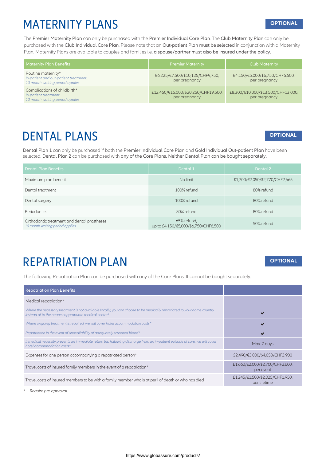#### MATERNITY PLANS **OPTIONAL**

The Premier Maternity Plan can only be purchased with the Premier Individual Core Plan. The Club Maternity Plan can only be purchased with the Club Individual Core Plan. Please note that an Out-patient Plan must be selected in conjunction with a Maternity Plan. Maternity Plans are available to couples and families i.e. a spouse/partner must also be insured under the policy.

| <b>Maternity Plan Benefits</b>                                                                 | <b>Premier Maternity</b>                             | <b>Club Maternity</b>                               |
|------------------------------------------------------------------------------------------------|------------------------------------------------------|-----------------------------------------------------|
| Routine maternity*<br>In-patient and out-patient treatment.<br>10 month waiting period applies | £6,225/€7,500/\$10,125/CHF9,750,<br>per pregnancy    | £4,150/€5,000/\$6,750/CHF6,500,<br>per pregnancy    |
| Complications of childbirth*<br>In-patient treatment.<br>10 month waiting period applies       | £12,450/€15,000/\$20,250/CHF19,500,<br>per pregnancy | £8,300/€10,000/\$13,500/CHF13,000,<br>per pregnancy |

#### DENTAL PLANS

#### **OPTIONAL**

**OPTIONAL**

Dental Plan 1 can only be purchased if both the Premier Individual Core Plan and Gold Individual Out-patient Plan have been selected. Dental Plan 2 can be purchased with any of the Core Plans. Neither Dental Plan can be bought separately.

| <b>Dental Plan Benefits</b>                                                    | Dental 1                                            | Dental 2                       |
|--------------------------------------------------------------------------------|-----------------------------------------------------|--------------------------------|
| Maximum plan benefit                                                           | No limit                                            | £1,700/€2,050/\$2,770/CHF2,665 |
| Dental treatment                                                               | 100% refund                                         | 80% refund                     |
| Dental surgery                                                                 | 100% refund                                         | 80% refund                     |
| Periodontics                                                                   | 80% refund                                          | 80% refund                     |
| Orthodontic treatment and dental prostheses<br>10 month waiting period applies | 65% refund,<br>up to £4,150/€5,000/\$6,750/CHF6,500 | 50% refund                     |

#### REPATRIATION PLAN

The following Repatriation Plan can be purchased with any of the Core Plans. It cannot be bought separately.

| <b>Repatriation Plan Benefits</b>                                                                                                                                                |                                                 |
|----------------------------------------------------------------------------------------------------------------------------------------------------------------------------------|-------------------------------------------------|
| Medical repatriation*                                                                                                                                                            |                                                 |
| Where the necessary treatment is not available locally, you can choose to be medically repatriated to your home country<br>instead of to the nearest appropriate medical centre* |                                                 |
| Where ongoing treatment is required, we will cover hotel accommodation costs*                                                                                                    | M                                               |
| Repatriation in the event of unavailability of adequately screened blood*                                                                                                        |                                                 |
| If medical necessity prevents an immediate return trip following discharge from an in-patient episode of care, we will cover<br>hotel accommodation costs*                       | Max. 7 days                                     |
| Expenses for one person accompanying a repatriated person*                                                                                                                       | £2,490/€3,000/\$4,050/CHF3,900                  |
| Travel costs of insured family members in the event of a repatriation*                                                                                                           | £1,660/€2,000/\$2,700/CHF2,600,<br>per event    |
| Travel costs of insured members to be with a family member who is at peril of death or who has died                                                                              | £1,245/€1,500/\$2,025/CHF1,950,<br>per lifetime |

https://www.globassure.com/products/

*\* Require pre-approval.*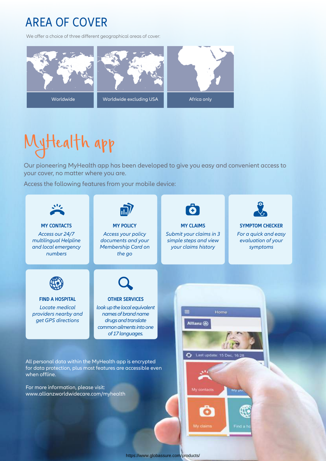### AREA OF COVER

We offer a choice of three different geographical areas of cover:



## MyHealth app

Our pioneering MyHealth app has been developed to give you easy and convenient access to your cover, no matter where you are.

Access the following features from your mobile device: